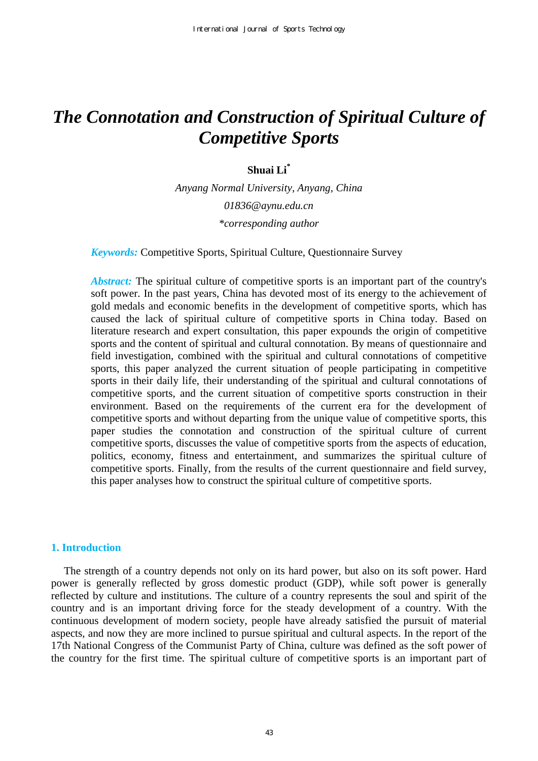# *The Connotation and Construction of Spiritual Culture of Competitive Sports*

**Shuai Li\***

*Anyang Normal University, Anyang, China 01836@aynu.edu.cn \*corresponding author* 

*Keywords:* Competitive Sports, Spiritual Culture, Questionnaire Survey

*Abstract:* The spiritual culture of competitive sports is an important part of the country's soft power. In the past years, China has devoted most of its energy to the achievement of gold medals and economic benefits in the development of competitive sports, which has caused the lack of spiritual culture of competitive sports in China today. Based on literature research and expert consultation, this paper expounds the origin of competitive sports and the content of spiritual and cultural connotation. By means of questionnaire and field investigation, combined with the spiritual and cultural connotations of competitive sports, this paper analyzed the current situation of people participating in competitive sports in their daily life, their understanding of the spiritual and cultural connotations of competitive sports, and the current situation of competitive sports construction in their environment. Based on the requirements of the current era for the development of competitive sports and without departing from the unique value of competitive sports, this paper studies the connotation and construction of the spiritual culture of current competitive sports, discusses the value of competitive sports from the aspects of education, politics, economy, fitness and entertainment, and summarizes the spiritual culture of competitive sports. Finally, from the results of the current questionnaire and field survey, this paper analyses how to construct the spiritual culture of competitive sports.

# **1. Introduction**

The strength of a country depends not only on its hard power, but also on its soft power. Hard power is generally reflected by gross domestic product (GDP), while soft power is generally reflected by culture and institutions. The culture of a country represents the soul and spirit of the country and is an important driving force for the steady development of a country. With the continuous development of modern society, people have already satisfied the pursuit of material aspects, and now they are more inclined to pursue spiritual and cultural aspects. In the report of the 17th National Congress of the Communist Party of China, culture was defined as the soft power of the country for the first time. The spiritual culture of competitive sports is an important part of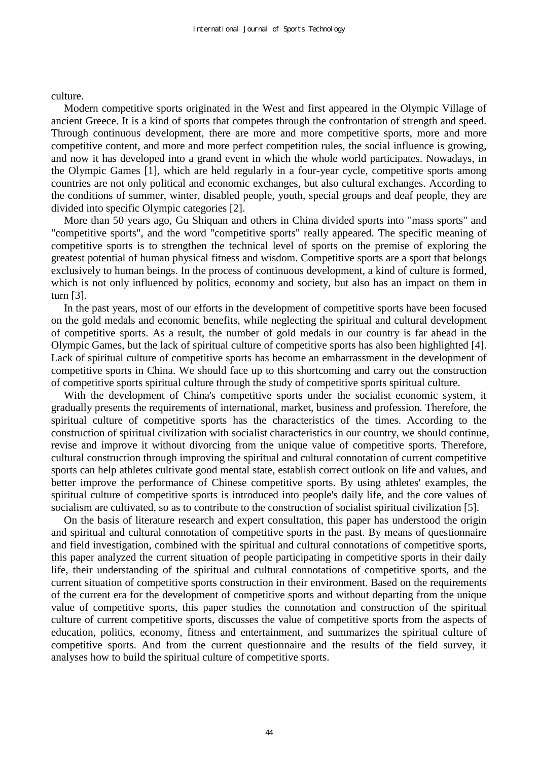culture.

Modern competitive sports originated in the West and first appeared in the Olympic Village of ancient Greece. It is a kind of sports that competes through the confrontation of strength and speed. Through continuous development, there are more and more competitive sports, more and more competitive content, and more and more perfect competition rules, the social influence is growing, and now it has developed into a grand event in which the whole world participates. Nowadays, in the Olympic Games [1], which are held regularly in a four-year cycle, competitive sports among countries are not only political and economic exchanges, but also cultural exchanges. According to the conditions of summer, winter, disabled people, youth, special groups and deaf people, they are divided into specific Olympic categories [2].

More than 50 years ago, Gu Shiquan and others in China divided sports into "mass sports" and "competitive sports", and the word "competitive sports" really appeared. The specific meaning of competitive sports is to strengthen the technical level of sports on the premise of exploring the greatest potential of human physical fitness and wisdom. Competitive sports are a sport that belongs exclusively to human beings. In the process of continuous development, a kind of culture is formed, which is not only influenced by politics, economy and society, but also has an impact on them in turn [3].

In the past years, most of our efforts in the development of competitive sports have been focused on the gold medals and economic benefits, while neglecting the spiritual and cultural development of competitive sports. As a result, the number of gold medals in our country is far ahead in the Olympic Games, but the lack of spiritual culture of competitive sports has also been highlighted [4]. Lack of spiritual culture of competitive sports has become an embarrassment in the development of competitive sports in China. We should face up to this shortcoming and carry out the construction of competitive sports spiritual culture through the study of competitive sports spiritual culture.

With the development of China's competitive sports under the socialist economic system, it gradually presents the requirements of international, market, business and profession. Therefore, the spiritual culture of competitive sports has the characteristics of the times. According to the construction of spiritual civilization with socialist characteristics in our country, we should continue, revise and improve it without divorcing from the unique value of competitive sports. Therefore, cultural construction through improving the spiritual and cultural connotation of current competitive sports can help athletes cultivate good mental state, establish correct outlook on life and values, and better improve the performance of Chinese competitive sports. By using athletes' examples, the spiritual culture of competitive sports is introduced into people's daily life, and the core values of socialism are cultivated, so as to contribute to the construction of socialist spiritual civilization [5].

On the basis of literature research and expert consultation, this paper has understood the origin and spiritual and cultural connotation of competitive sports in the past. By means of questionnaire and field investigation, combined with the spiritual and cultural connotations of competitive sports, this paper analyzed the current situation of people participating in competitive sports in their daily life, their understanding of the spiritual and cultural connotations of competitive sports, and the current situation of competitive sports construction in their environment. Based on the requirements of the current era for the development of competitive sports and without departing from the unique value of competitive sports, this paper studies the connotation and construction of the spiritual culture of current competitive sports, discusses the value of competitive sports from the aspects of education, politics, economy, fitness and entertainment, and summarizes the spiritual culture of competitive sports. And from the current questionnaire and the results of the field survey, it analyses how to build the spiritual culture of competitive sports.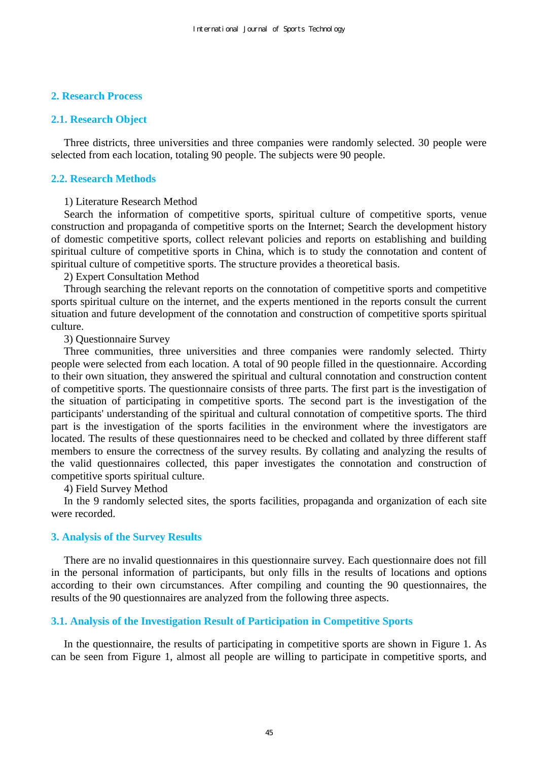## **2. Research Process**

## **2.1. Research Object**

Three districts, three universities and three companies were randomly selected. 30 people were selected from each location, totaling 90 people. The subjects were 90 people.

## **2.2. Research Methods**

#### 1) Literature Research Method

Search the information of competitive sports, spiritual culture of competitive sports, venue construction and propaganda of competitive sports on the Internet; Search the development history of domestic competitive sports, collect relevant policies and reports on establishing and building spiritual culture of competitive sports in China, which is to study the connotation and content of spiritual culture of competitive sports. The structure provides a theoretical basis.

2) Expert Consultation Method

Through searching the relevant reports on the connotation of competitive sports and competitive sports spiritual culture on the internet, and the experts mentioned in the reports consult the current situation and future development of the connotation and construction of competitive sports spiritual culture.

3) Questionnaire Survey

Three communities, three universities and three companies were randomly selected. Thirty people were selected from each location. A total of 90 people filled in the questionnaire. According to their own situation, they answered the spiritual and cultural connotation and construction content of competitive sports. The questionnaire consists of three parts. The first part is the investigation of the situation of participating in competitive sports. The second part is the investigation of the participants' understanding of the spiritual and cultural connotation of competitive sports. The third part is the investigation of the sports facilities in the environment where the investigators are located. The results of these questionnaires need to be checked and collated by three different staff members to ensure the correctness of the survey results. By collating and analyzing the results of the valid questionnaires collected, this paper investigates the connotation and construction of competitive sports spiritual culture.

4) Field Survey Method

In the 9 randomly selected sites, the sports facilities, propaganda and organization of each site were recorded.

#### **3. Analysis of the Survey Results**

There are no invalid questionnaires in this questionnaire survey. Each questionnaire does not fill in the personal information of participants, but only fills in the results of locations and options according to their own circumstances. After compiling and counting the 90 questionnaires, the results of the 90 questionnaires are analyzed from the following three aspects.

## **3.1. Analysis of the Investigation Result of Participation in Competitive Sports**

In the questionnaire, the results of participating in competitive sports are shown in Figure 1. As can be seen from Figure 1, almost all people are willing to participate in competitive sports, and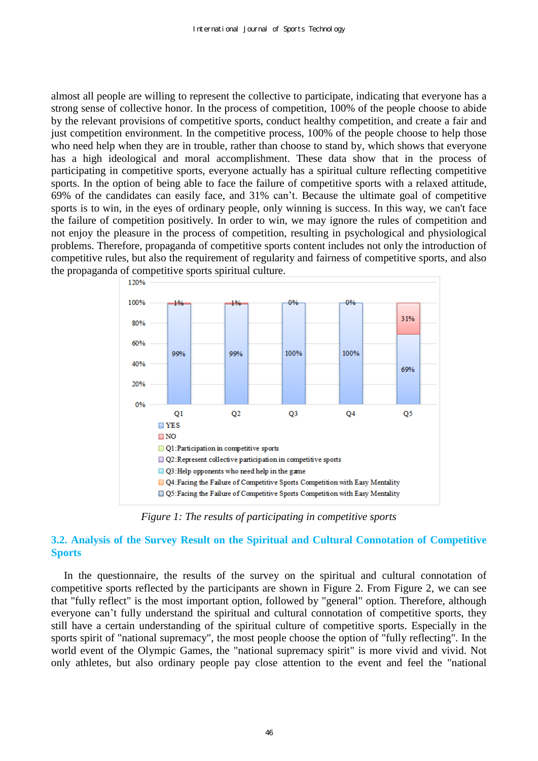almost all people are willing to represent the collective to participate, indicating that everyone has a strong sense of collective honor. In the process of competition, 100% of the people choose to abide by the relevant provisions of competitive sports, conduct healthy competition, and create a fair and just competition environment. In the competitive process, 100% of the people choose to help those who need help when they are in trouble, rather than choose to stand by, which shows that everyone has a high ideological and moral accomplishment. These data show that in the process of participating in competitive sports, everyone actually has a spiritual culture reflecting competitive sports. In the option of being able to face the failure of competitive sports with a relaxed attitude, 69% of the candidates can easily face, and 31% can't. Because the ultimate goal of competitive sports is to win, in the eyes of ordinary people, only winning is success. In this way, we can't face the failure of competition positively. In order to win, we may ignore the rules of competition and not enjoy the pleasure in the process of competition, resulting in psychological and physiological problems. Therefore, propaganda of competitive sports content includes not only the introduction of competitive rules, but also the requirement of regularity and fairness of competitive sports, and also the propaganda of competitive sports spiritual culture.



*Figure 1: The results of participating in competitive sports* 

# **3.2. Analysis of the Survey Result on the Spiritual and Cultural Connotation of Competitive Sports**

In the questionnaire, the results of the survey on the spiritual and cultural connotation of competitive sports reflected by the participants are shown in Figure 2. From Figure 2, we can see that "fully reflect" is the most important option, followed by "general" option. Therefore, although everyone can't fully understand the spiritual and cultural connotation of competitive sports, they still have a certain understanding of the spiritual culture of competitive sports. Especially in the sports spirit of "national supremacy", the most people choose the option of "fully reflecting". In the world event of the Olympic Games, the "national supremacy spirit" is more vivid and vivid. Not only athletes, but also ordinary people pay close attention to the event and feel the "national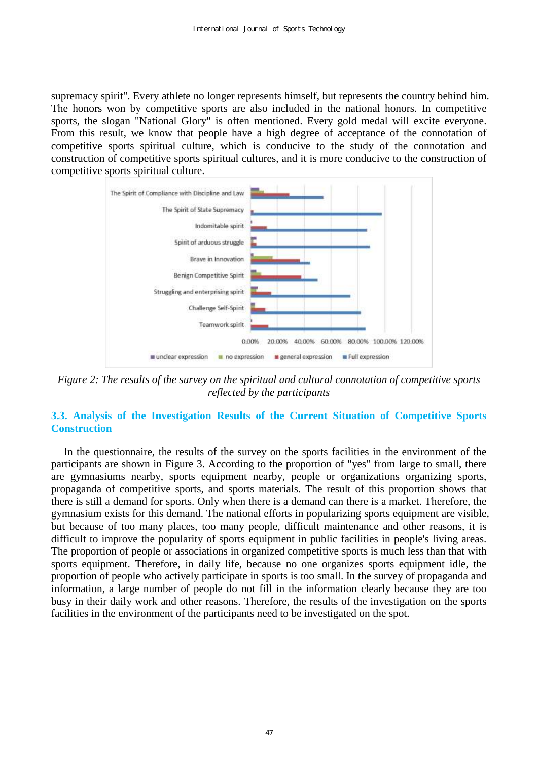supremacy spirit". Every athlete no longer represents himself, but represents the country behind him. The honors won by competitive sports are also included in the national honors. In competitive sports, the slogan "National Glory" is often mentioned. Every gold medal will excite everyone. From this result, we know that people have a high degree of acceptance of the connotation of competitive sports spiritual culture, which is conducive to the study of the connotation and construction of competitive sports spiritual cultures, and it is more conducive to the construction of competitive sports spiritual culture.



*Figure 2: The results of the survey on the spiritual and cultural connotation of competitive sports reflected by the participants* 

# **3.3. Analysis of the Investigation Results of the Current Situation of Competitive Sports Construction**

In the questionnaire, the results of the survey on the sports facilities in the environment of the participants are shown in Figure 3. According to the proportion of "yes" from large to small, there are gymnasiums nearby, sports equipment nearby, people or organizations organizing sports, propaganda of competitive sports, and sports materials. The result of this proportion shows that there is still a demand for sports. Only when there is a demand can there is a market. Therefore, the gymnasium exists for this demand. The national efforts in popularizing sports equipment are visible, but because of too many places, too many people, difficult maintenance and other reasons, it is difficult to improve the popularity of sports equipment in public facilities in people's living areas. The proportion of people or associations in organized competitive sports is much less than that with sports equipment. Therefore, in daily life, because no one organizes sports equipment idle, the proportion of people who actively participate in sports is too small. In the survey of propaganda and information, a large number of people do not fill in the information clearly because they are too busy in their daily work and other reasons. Therefore, the results of the investigation on the sports facilities in the environment of the participants need to be investigated on the spot.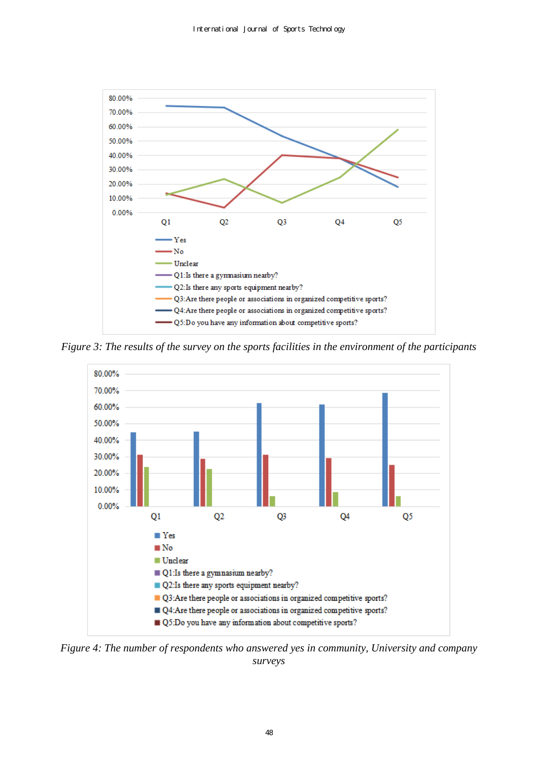

*Figure 3: The results of the survey on the sports facilities in the environment of the participants* 



*Figure 4: The number of respondents who answered yes in community, University and company surveys*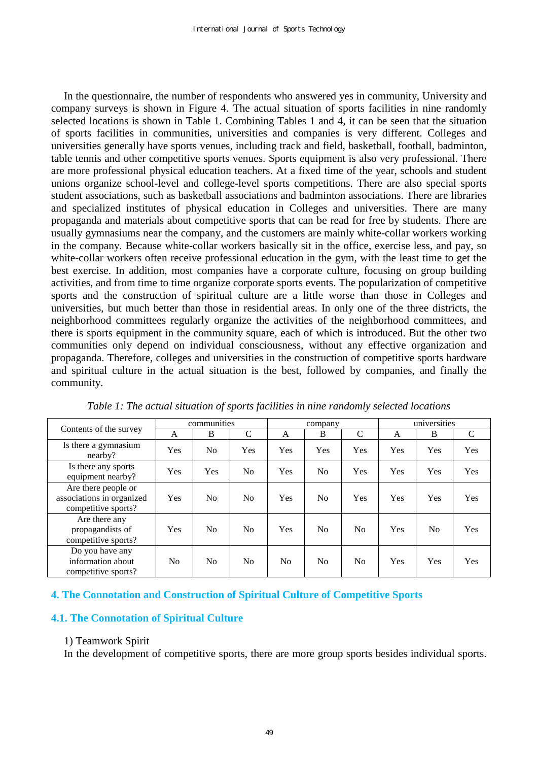In the questionnaire, the number of respondents who answered yes in community, University and company surveys is shown in Figure 4. The actual situation of sports facilities in nine randomly selected locations is shown in Table 1. Combining Tables 1 and 4, it can be seen that the situation of sports facilities in communities, universities and companies is very different. Colleges and universities generally have sports venues, including track and field, basketball, football, badminton, table tennis and other competitive sports venues. Sports equipment is also very professional. There are more professional physical education teachers. At a fixed time of the year, schools and student unions organize school-level and college-level sports competitions. There are also special sports student associations, such as basketball associations and badminton associations. There are libraries and specialized institutes of physical education in Colleges and universities. There are many propaganda and materials about competitive sports that can be read for free by students. There are usually gymnasiums near the company, and the customers are mainly white-collar workers working in the company. Because white-collar workers basically sit in the office, exercise less, and pay, so white-collar workers often receive professional education in the gym, with the least time to get the best exercise. In addition, most companies have a corporate culture, focusing on group building activities, and from time to time organize corporate sports events. The popularization of competitive sports and the construction of spiritual culture are a little worse than those in Colleges and universities, but much better than those in residential areas. In only one of the three districts, the neighborhood committees regularly organize the activities of the neighborhood committees, and there is sports equipment in the community square, each of which is introduced. But the other two communities only depend on individual consciousness, without any effective organization and propaganda. Therefore, colleges and universities in the construction of competitive sports hardware and spiritual culture in the actual situation is the best, followed by companies, and finally the community.

| Contents of the survey                                                  | communities    |                |                | company |                |                | universities |     |               |
|-------------------------------------------------------------------------|----------------|----------------|----------------|---------|----------------|----------------|--------------|-----|---------------|
|                                                                         | A              | B              | $\mathcal{C}$  | A       | B              | C              | A            | B   | $\mathcal{C}$ |
| Is there a gymnasium<br>nearby?                                         | <b>Yes</b>     | N <sub>0</sub> | Yes            | Yes     | Yes            | Yes            | Yes          | Yes | Yes           |
| Is there any sports<br>equipment nearby?                                | <b>Yes</b>     | Yes            | N <sub>0</sub> | Yes     | N <sub>0</sub> | Yes            | Yes          | Yes | Yes           |
| Are there people or<br>associations in organized<br>competitive sports? | <b>Yes</b>     | No             | N <sub>0</sub> | Yes     | N <sub>0</sub> | Yes            | Yes          | Yes | Yes           |
| Are there any<br>propagandists of<br>competitive sports?                | Yes            | N <sub>0</sub> | No             | Yes     | No             | No             | Yes          | No  | Yes           |
| Do you have any<br>information about<br>competitive sports?             | N <sub>0</sub> | No             | N <sub>0</sub> | No.     | N <sub>0</sub> | N <sub>0</sub> | Yes          | Yes | Yes           |

*Table 1: The actual situation of sports facilities in nine randomly selected locations* 

# **4. The Connotation and Construction of Spiritual Culture of Competitive Sports**

# **4.1. The Connotation of Spiritual Culture**

#### 1) Teamwork Spirit

In the development of competitive sports, there are more group sports besides individual sports.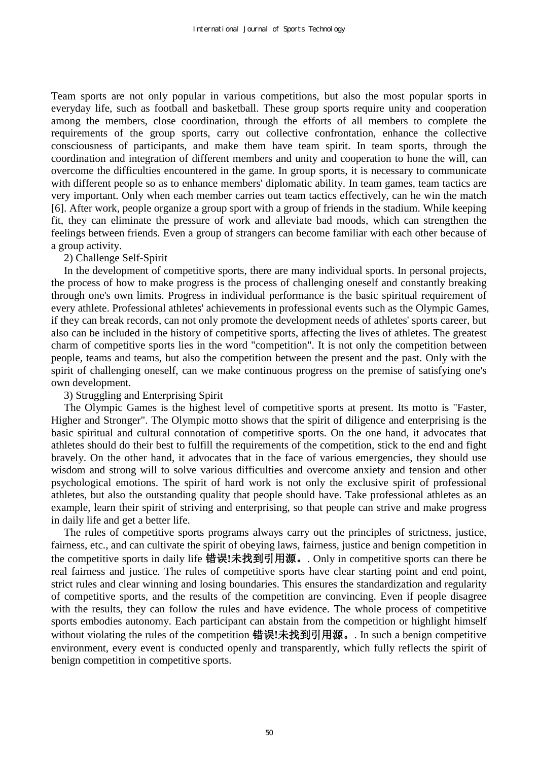Team sports are not only popular in various competitions, but also the most popular sports in everyday life, such as football and basketball. These group sports require unity and cooperation among the members, close coordination, through the efforts of all members to complete the requirements of the group sports, carry out collective confrontation, enhance the collective consciousness of participants, and make them have team spirit. In team sports, through the coordination and integration of different members and unity and cooperation to hone the will, can overcome the difficulties encountered in the game. In group sports, it is necessary to communicate with different people so as to enhance members' diplomatic ability. In team games, team tactics are very important. Only when each member carries out team tactics effectively, can he win the match [6]. After work, people organize a group sport with a group of friends in the stadium. While keeping fit, they can eliminate the pressure of work and alleviate bad moods, which can strengthen the feelings between friends. Even a group of strangers can become familiar with each other because of a group activity.

## 2) Challenge Self-Spirit

In the development of competitive sports, there are many individual sports. In personal projects, the process of how to make progress is the process of challenging oneself and constantly breaking through one's own limits. Progress in individual performance is the basic spiritual requirement of every athlete. Professional athletes' achievements in professional events such as the Olympic Games, if they can break records, can not only promote the development needs of athletes' sports career, but also can be included in the history of competitive sports, affecting the lives of athletes. The greatest charm of competitive sports lies in the word "competition". It is not only the competition between people, teams and teams, but also the competition between the present and the past. Only with the spirit of challenging oneself, can we make continuous progress on the premise of satisfying one's own development.

# 3) Struggling and Enterprising Spirit

The Olympic Games is the highest level of competitive sports at present. Its motto is "Faster, Higher and Stronger". The Olympic motto shows that the spirit of diligence and enterprising is the basic spiritual and cultural connotation of competitive sports. On the one hand, it advocates that athletes should do their best to fulfill the requirements of the competition, stick to the end and fight bravely. On the other hand, it advocates that in the face of various emergencies, they should use wisdom and strong will to solve various difficulties and overcome anxiety and tension and other psychological emotions. The spirit of hard work is not only the exclusive spirit of professional athletes, but also the outstanding quality that people should have. Take professional athletes as an example, learn their spirit of striving and enterprising, so that people can strive and make progress in daily life and get a better life.

The rules of competitive sports programs always carry out the principles of strictness, justice, fairness, etc., and can cultivate the spirit of obeying laws, fairness, justice and benign competition in the competitive sports in daily life 错误**!**未找到引用源。. Only in competitive sports can there be real fairness and justice. The rules of competitive sports have clear starting point and end point, strict rules and clear winning and losing boundaries. This ensures the standardization and regularity of competitive sports, and the results of the competition are convincing. Even if people disagree with the results, they can follow the rules and have evidence. The whole process of competitive sports embodies autonomy. Each participant can abstain from the competition or highlight himself without violating the rules of the competition 错误**!**未找到引用源。. In such a benign competitive environment, every event is conducted openly and transparently, which fully reflects the spirit of benign competition in competitive sports.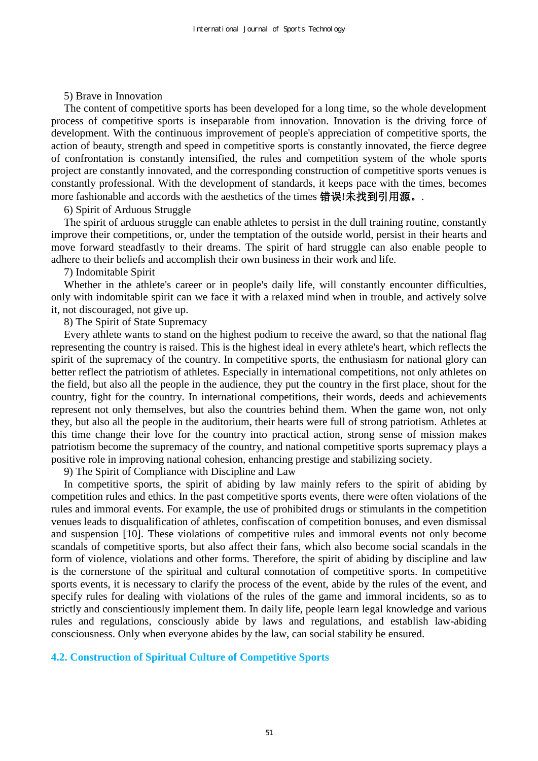## 5) Brave in Innovation

The content of competitive sports has been developed for a long time, so the whole development process of competitive sports is inseparable from innovation. Innovation is the driving force of development. With the continuous improvement of people's appreciation of competitive sports, the action of beauty, strength and speed in competitive sports is constantly innovated, the fierce degree of confrontation is constantly intensified, the rules and competition system of the whole sports project are constantly innovated, and the corresponding construction of competitive sports venues is constantly professional. With the development of standards, it keeps pace with the times, becomes more fashionable and accords with the aesthetics of the times 错误**!**未找到引用源。.

#### 6) Spirit of Arduous Struggle

The spirit of arduous struggle can enable athletes to persist in the dull training routine, constantly improve their competitions, or, under the temptation of the outside world, persist in their hearts and move forward steadfastly to their dreams. The spirit of hard struggle can also enable people to adhere to their beliefs and accomplish their own business in their work and life.

## 7) Indomitable Spirit

Whether in the athlete's career or in people's daily life, will constantly encounter difficulties, only with indomitable spirit can we face it with a relaxed mind when in trouble, and actively solve it, not discouraged, not give up.

# 8) The Spirit of State Supremacy

Every athlete wants to stand on the highest podium to receive the award, so that the national flag representing the country is raised. This is the highest ideal in every athlete's heart, which reflects the spirit of the supremacy of the country. In competitive sports, the enthusiasm for national glory can better reflect the patriotism of athletes. Especially in international competitions, not only athletes on the field, but also all the people in the audience, they put the country in the first place, shout for the country, fight for the country. In international competitions, their words, deeds and achievements represent not only themselves, but also the countries behind them. When the game won, not only they, but also all the people in the auditorium, their hearts were full of strong patriotism. Athletes at this time change their love for the country into practical action, strong sense of mission makes patriotism become the supremacy of the country, and national competitive sports supremacy plays a positive role in improving national cohesion, enhancing prestige and stabilizing society.

9) The Spirit of Compliance with Discipline and Law

In competitive sports, the spirit of abiding by law mainly refers to the spirit of abiding by competition rules and ethics. In the past competitive sports events, there were often violations of the rules and immoral events. For example, the use of prohibited drugs or stimulants in the competition venues leads to disqualification of athletes, confiscation of competition bonuses, and even dismissal and suspension [10]. These violations of competitive rules and immoral events not only become scandals of competitive sports, but also affect their fans, which also become social scandals in the form of violence, violations and other forms. Therefore, the spirit of abiding by discipline and law is the cornerstone of the spiritual and cultural connotation of competitive sports. In competitive sports events, it is necessary to clarify the process of the event, abide by the rules of the event, and specify rules for dealing with violations of the rules of the game and immoral incidents, so as to strictly and conscientiously implement them. In daily life, people learn legal knowledge and various rules and regulations, consciously abide by laws and regulations, and establish law-abiding consciousness. Only when everyone abides by the law, can social stability be ensured.

#### **4.2. Construction of Spiritual Culture of Competitive Sports**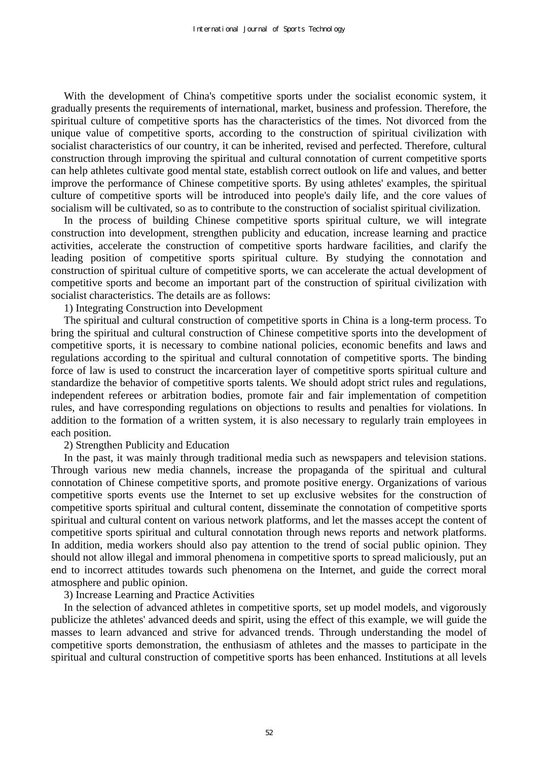With the development of China's competitive sports under the socialist economic system, it gradually presents the requirements of international, market, business and profession. Therefore, the spiritual culture of competitive sports has the characteristics of the times. Not divorced from the unique value of competitive sports, according to the construction of spiritual civilization with socialist characteristics of our country, it can be inherited, revised and perfected. Therefore, cultural construction through improving the spiritual and cultural connotation of current competitive sports can help athletes cultivate good mental state, establish correct outlook on life and values, and better improve the performance of Chinese competitive sports. By using athletes' examples, the spiritual culture of competitive sports will be introduced into people's daily life, and the core values of socialism will be cultivated, so as to contribute to the construction of socialist spiritual civilization.

In the process of building Chinese competitive sports spiritual culture, we will integrate construction into development, strengthen publicity and education, increase learning and practice activities, accelerate the construction of competitive sports hardware facilities, and clarify the leading position of competitive sports spiritual culture. By studying the connotation and construction of spiritual culture of competitive sports, we can accelerate the actual development of competitive sports and become an important part of the construction of spiritual civilization with socialist characteristics. The details are as follows:

1) Integrating Construction into Development

The spiritual and cultural construction of competitive sports in China is a long-term process. To bring the spiritual and cultural construction of Chinese competitive sports into the development of competitive sports, it is necessary to combine national policies, economic benefits and laws and regulations according to the spiritual and cultural connotation of competitive sports. The binding force of law is used to construct the incarceration layer of competitive sports spiritual culture and standardize the behavior of competitive sports talents. We should adopt strict rules and regulations, independent referees or arbitration bodies, promote fair and fair implementation of competition rules, and have corresponding regulations on objections to results and penalties for violations. In addition to the formation of a written system, it is also necessary to regularly train employees in each position.

2) Strengthen Publicity and Education

In the past, it was mainly through traditional media such as newspapers and television stations. Through various new media channels, increase the propaganda of the spiritual and cultural connotation of Chinese competitive sports, and promote positive energy. Organizations of various competitive sports events use the Internet to set up exclusive websites for the construction of competitive sports spiritual and cultural content, disseminate the connotation of competitive sports spiritual and cultural content on various network platforms, and let the masses accept the content of competitive sports spiritual and cultural connotation through news reports and network platforms. In addition, media workers should also pay attention to the trend of social public opinion. They should not allow illegal and immoral phenomena in competitive sports to spread maliciously, put an end to incorrect attitudes towards such phenomena on the Internet, and guide the correct moral atmosphere and public opinion.

3) Increase Learning and Practice Activities

In the selection of advanced athletes in competitive sports, set up model models, and vigorously publicize the athletes' advanced deeds and spirit, using the effect of this example, we will guide the masses to learn advanced and strive for advanced trends. Through understanding the model of competitive sports demonstration, the enthusiasm of athletes and the masses to participate in the spiritual and cultural construction of competitive sports has been enhanced. Institutions at all levels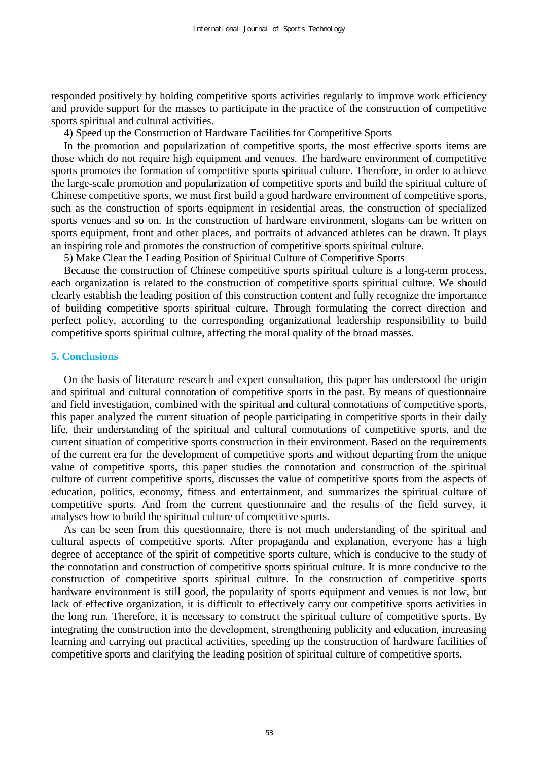responded positively by holding competitive sports activities regularly to improve work efficiency and provide support for the masses to participate in the practice of the construction of competitive sports spiritual and cultural activities.

4) Speed up the Construction of Hardware Facilities for Competitive Sports

In the promotion and popularization of competitive sports, the most effective sports items are those which do not require high equipment and venues. The hardware environment of competitive sports promotes the formation of competitive sports spiritual culture. Therefore, in order to achieve the large-scale promotion and popularization of competitive sports and build the spiritual culture of Chinese competitive sports, we must first build a good hardware environment of competitive sports, such as the construction of sports equipment in residential areas, the construction of specialized sports venues and so on. In the construction of hardware environment, slogans can be written on sports equipment, front and other places, and portraits of advanced athletes can be drawn. It plays an inspiring role and promotes the construction of competitive sports spiritual culture.

5) Make Clear the Leading Position of Spiritual Culture of Competitive Sports

Because the construction of Chinese competitive sports spiritual culture is a long-term process, each organization is related to the construction of competitive sports spiritual culture. We should clearly establish the leading position of this construction content and fully recognize the importance of building competitive sports spiritual culture. Through formulating the correct direction and perfect policy, according to the corresponding organizational leadership responsibility to build competitive sports spiritual culture, affecting the moral quality of the broad masses.

## **5. Conclusions**

On the basis of literature research and expert consultation, this paper has understood the origin and spiritual and cultural connotation of competitive sports in the past. By means of questionnaire and field investigation, combined with the spiritual and cultural connotations of competitive sports, this paper analyzed the current situation of people participating in competitive sports in their daily life, their understanding of the spiritual and cultural connotations of competitive sports, and the current situation of competitive sports construction in their environment. Based on the requirements of the current era for the development of competitive sports and without departing from the unique value of competitive sports, this paper studies the connotation and construction of the spiritual culture of current competitive sports, discusses the value of competitive sports from the aspects of education, politics, economy, fitness and entertainment, and summarizes the spiritual culture of competitive sports. And from the current questionnaire and the results of the field survey, it analyses how to build the spiritual culture of competitive sports.

As can be seen from this questionnaire, there is not much understanding of the spiritual and cultural aspects of competitive sports. After propaganda and explanation, everyone has a high degree of acceptance of the spirit of competitive sports culture, which is conducive to the study of the connotation and construction of competitive sports spiritual culture. It is more conducive to the construction of competitive sports spiritual culture. In the construction of competitive sports hardware environment is still good, the popularity of sports equipment and venues is not low, but lack of effective organization, it is difficult to effectively carry out competitive sports activities in the long run. Therefore, it is necessary to construct the spiritual culture of competitive sports. By integrating the construction into the development, strengthening publicity and education, increasing learning and carrying out practical activities, speeding up the construction of hardware facilities of competitive sports and clarifying the leading position of spiritual culture of competitive sports.